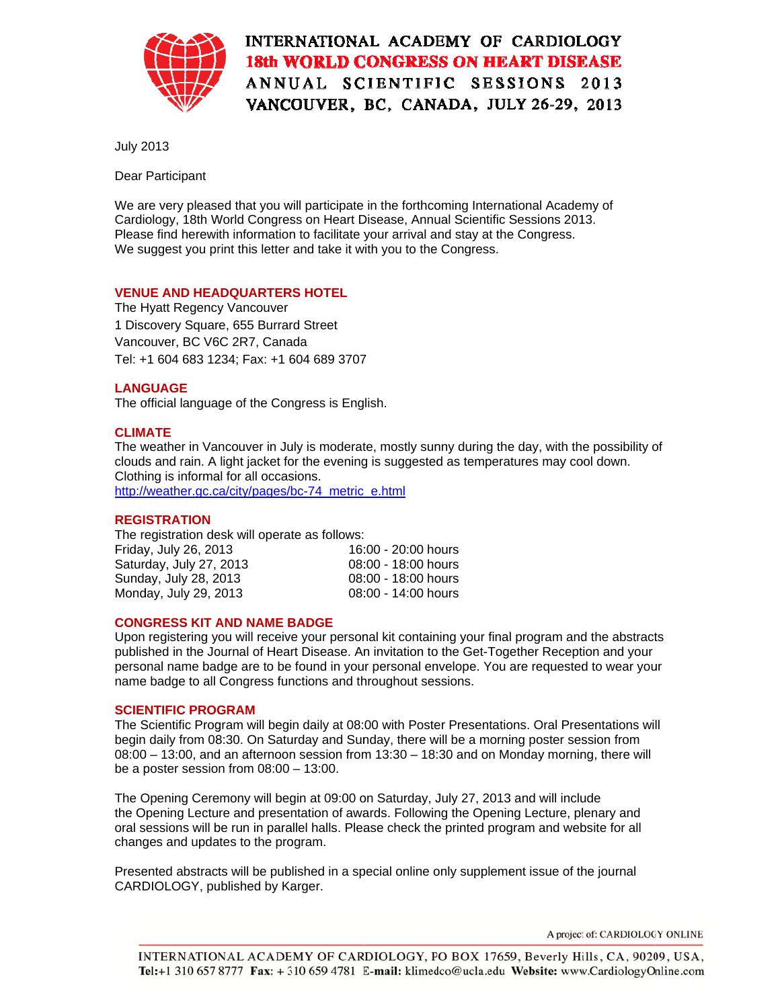

## INTERNATIONAL ACADEMY OF CARDIOLOGY **18th WORLD CONGRESS ON HEART DISEASE** ANNUAL SCIENTIFIC SESSIONS 2013 VANCOUVER, BC, CANADA, JULY 26-29, 2013

**July 2013** 

Dear Participant

We are very pleased that you will participate in the forthcoming International Academy of Cardiology, 18th World Congress on Heart Disease, Annual Scientific Sessions 2013. Please find herewith information to facilitate your arrival and stay at the Congress. We suggest you print this letter and take it with you to the Congress.

#### **VENUE AND HEADQUARTERS HOTEL**

The Hyatt Regency Vancouver 1 Discovery Square, 655 Burrard Street Vancouver, BC V6C 2R7, Canada Tel: +1 604 683 1234: Fax: +1 604 689 3707

## **LANGUAGE**

The official language of the Congress is English.

#### **CLIMATE**

The weather in Vancouver in July is moderate, mostly sunny during the day, with the possibility of clouds and rain. A light jacket for the evening is suggested as temperatures may cool down. Clothing is informal for all occasions.

http://weather.gc.ca/city/pages/bc-74 metric e.html

#### **REGISTRATION**

The registration desk will operate as follows:

| Friday, July 26, 2013   | 16:00 - 20:00 hours |
|-------------------------|---------------------|
| Saturday, July 27, 2013 | 08:00 - 18:00 hours |
| Sunday, July 28, 2013   | 08:00 - 18:00 hours |
| Monday, July 29, 2013   | 08:00 - 14:00 hours |

## **CONGRESS KIT AND NAME BADGE**

Upon registering you will receive your personal kit containing your final program and the abstracts published in the Journal of Heart Disease. An invitation to the Get-Together Reception and your personal name badge are to be found in your personal envelope. You are requested to wear your name badge to all Congress functions and throughout sessions.

#### **SCIENTIFIC PROGRAM**

The Scientific Program will begin daily at 08:00 with Poster Presentations. Oral Presentations will begin daily from 08:30. On Saturday and Sunday, there will be a morning poster session from  $08:00 - 13:00$ , and an afternoon session from  $13:30 - 18:30$  and on Monday morning, there will be a poster session from  $08:00 - 13:00$ .

The Opening Ceremony will begin at 09:00 on Saturday, July 27, 2013 and will include the Opening Lecture and presentation of awards. Following the Opening Lecture, plenary and oral sessions will be run in parallel halls. Please check the printed program and website for all changes and updates to the program.

Presented abstracts will be published in a special online only supplement issue of the journal CARDIOLOGY, published by Karger.

A project of: CARDIOLOGY ONLINE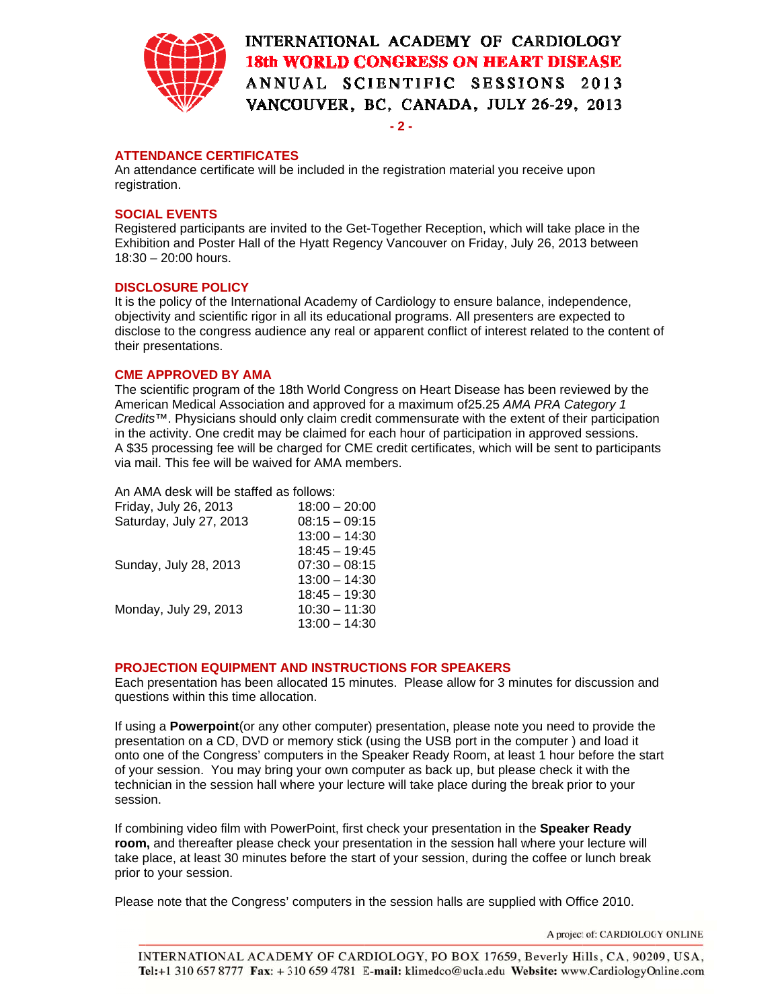

# INTERNATIONAL ACADEMY OF CARDIOLOGY **18th WORLD CONGRESS ON HEART DISEASE** ANNUAL SCIENTIFIC SESSIONS 2013 VANCOUVER, BC, CANADA, JULY 26-29, 2013

 $-2-$ 

#### **ATTENDANCE CERTIFICATES**

An attendance certificate will be included in the registration material you receive upon registration.

### **SOCIAL EVENTS**

Registered participants are invited to the Get-Together Reception, which will take place in the Exhibition and Poster Hall of the Hyatt Regency Vancouver on Friday, July 26, 2013 between  $18:30 - 20:00$  hours.

#### **DISCLOSURE POLICY**

It is the policy of the International Academy of Cardiology to ensure balance, independence, objectivity and scientific rigor in all its educational programs. All presenters are expected to disclose to the congress audience any real or apparent conflict of interest related to the content of their presentations.

#### **CME APPROVED BY AMA**

The scientific program of the 18th World Congress on Heart Disease has been reviewed by the American Medical Association and approved for a maximum of 25.25 AMA PRA Category 1 Credits™. Physicians should only claim credit commensurate with the extent of their participation in the activity. One credit may be claimed for each hour of participation in approved sessions. A \$35 processing fee will be charged for CME credit certificates, which will be sent to participants via mail. This fee will be waived for AMA members.

#### An AMA desk will be staffed as follows:

| Friday, July 26, 2013   | $18:00 - 20:00$ |
|-------------------------|-----------------|
| Saturday, July 27, 2013 | $08:15 - 09:15$ |
|                         | $13:00 - 14:30$ |
|                         | $18:45 - 19:45$ |
| Sunday, July 28, 2013   | $07:30 - 08:15$ |
|                         | $13:00 - 14:30$ |
|                         | $18:45 - 19:30$ |
| Monday, July 29, 2013   | $10:30 - 11:30$ |
|                         | $13:00 - 14:30$ |

## PROJECTION EQUIPMENT AND INSTRUCTIONS FOR SPEAKERS

Each presentation has been allocated 15 minutes. Please allow for 3 minutes for discussion and questions within this time allocation.

If using a **Powerpoint** (or any other computer) presentation, please note you need to provide the presentation on a CD, DVD or memory stick (using the USB port in the computer) and load it onto one of the Congress' computers in the Speaker Ready Room, at least 1 hour before the start of your session. You may bring your own computer as back up, but please check it with the technician in the session hall where your lecture will take place during the break prior to your session.

If combining video film with PowerPoint, first check your presentation in the Speaker Ready room, and thereafter please check your presentation in the session hall where your lecture will take place, at least 30 minutes before the start of your session, during the coffee or lunch break prior to your session.

Please note that the Congress' computers in the session halls are supplied with Office 2010.